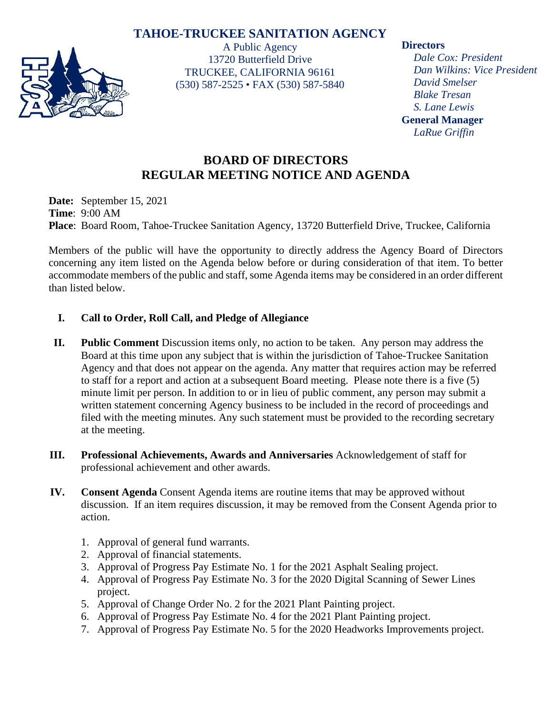## **TAHOE-TRUCKEE SANITATION AGENCY**



A Public Agency 13720 Butterfield Drive TRUCKEE, CALIFORNIA 96161 (530) 587-2525 • FAX (530) 587-5840 **Directors**

*Dale Cox: President Dan Wilkins: Vice President David Smelser Blake Tresan S. Lane Lewis* **General Manager** *LaRue Griffin*

# **BOARD OF DIRECTORS REGULAR MEETING NOTICE AND AGENDA**

**Date:** September 15, 2021 **Time**: 9:00 AM **Place**: Board Room, Tahoe-Truckee Sanitation Agency, 13720 Butterfield Drive, Truckee, California

Members of the public will have the opportunity to directly address the Agency Board of Directors concerning any item listed on the Agenda below before or during consideration of that item. To better accommodate members of the public and staff, some Agenda items may be considered in an order different than listed below.

### **I. Call to Order, Roll Call, and Pledge of Allegiance**

- **II. Public Comment** Discussion items only, no action to be taken. Any person may address the Board at this time upon any subject that is within the jurisdiction of Tahoe-Truckee Sanitation Agency and that does not appear on the agenda. Any matter that requires action may be referred to staff for a report and action at a subsequent Board meeting. Please note there is a five (5) minute limit per person. In addition to or in lieu of public comment, any person may submit a written statement concerning Agency business to be included in the record of proceedings and filed with the meeting minutes. Any such statement must be provided to the recording secretary at the meeting.
- **III. Professional Achievements, Awards and Anniversaries** Acknowledgement of staff for professional achievement and other awards.
- **IV. Consent Agenda** Consent Agenda items are routine items that may be approved without discussion. If an item requires discussion, it may be removed from the Consent Agenda prior to action.
	- 1. Approval of general fund warrants.
	- 2. Approval of financial statements.
	- 3. Approval of Progress Pay Estimate No. 1 for the 2021 Asphalt Sealing project.
	- 4. Approval of Progress Pay Estimate No. 3 for the 2020 Digital Scanning of Sewer Lines project.
	- 5. Approval of Change Order No. 2 for the 2021 Plant Painting project.
	- 6. Approval of Progress Pay Estimate No. 4 for the 2021 Plant Painting project.
	- 7. Approval of Progress Pay Estimate No. 5 for the 2020 Headworks Improvements project.